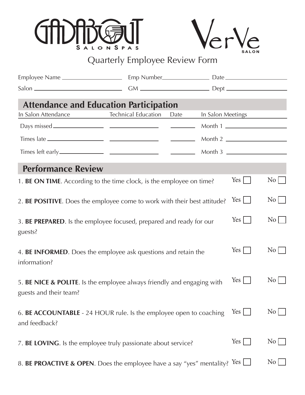



| <b>Attendance and Education Participation</b>                                                    |                            |      |                   |                  |                                            |
|--------------------------------------------------------------------------------------------------|----------------------------|------|-------------------|------------------|--------------------------------------------|
| In Salon Attendance                                                                              | <b>Technical Education</b> | Date | In Salon Meetings |                  |                                            |
|                                                                                                  |                            |      |                   | Month 1          |                                            |
|                                                                                                  |                            |      |                   |                  |                                            |
| Times left early.                                                                                |                            |      | Month 3           |                  |                                            |
| <b>Performance Review</b>                                                                        |                            |      |                   |                  |                                            |
| 1. BE ON TIME. According to the time clock, is the employee on time?                             |                            |      |                   | $Yes \mid \cdot$ | $\begin{array}{c c} \n\hline\n\end{array}$ |
| 2. BE POSITIVE. Does the employee come to work with their best attitude?                         |                            |      |                   | $Yes \mid \cdot$ | $\overline{N_0}$                           |
| 3. BE PREPARED. Is the employee focused, prepared and ready for our<br>guests?                   |                            |      |                   | $Yes \mid \mid$  | $\begin{array}{c c} \n\hline\n\end{array}$ |
| 4. BE INFORMED. Does the employee ask questions and retain the<br>information?                   |                            |      |                   | $Yes \mid \cdot$ | $\begin{array}{c c} \n\hline\n\end{array}$ |
| 5. BE NICE & POLITE. Is the employee always friendly and engaging with<br>guests and their team? |                            |      |                   | $Yes \mid \mid$  | $\rm\,No$                                  |
| 6. BE ACCOUNTABLE - 24 HOUR rule. Is the employee open to coaching<br>and feedback?              |                            |      |                   | $Yes \mid$       | $\overline{N_{0}}$                         |
| 7. BE LOVING. Is the employee truly passionate about service?                                    |                            |      |                   | Yes              | $\overline{N_{0}}$                         |
| 8. <b>BE PROACTIVE &amp; OPEN</b> . Does the employee have a say "yes" mentality? Yes $\Box$     |                            |      |                   |                  | N <sub>0</sub>                             |